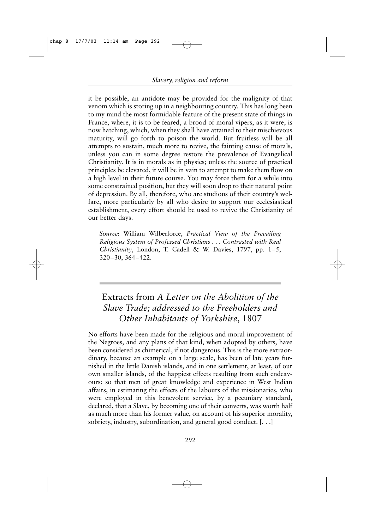Extracts from *A Letter on the Abolition of the Slave Trade; addressed to the Freeholders and Other Inhabitants of Yorkshire*, 1807

No efforts have been made for the religious and moral improvement of the Negroes, and any plans of that kind, when adopted by others, have been considered as chimerical, if not dangerous. This is the more extraordinary, because an example on a large scale, has been of late years furnished in the little Danish islands, and in one settlement, at least, of our own smaller islands, of the happiest effects resulting from such endeavours: so that men of great knowledge and experience in West Indian affairs, in estimating the effects of the labours of the missionaries, who were employed in this benevolent service, by a pecuniary standard, declared, that a Slave, by becoming one of their converts, was worth half as much more than his former value, on account of his superior morality, sobriety, industry, subordination, and general good conduct. [. . .]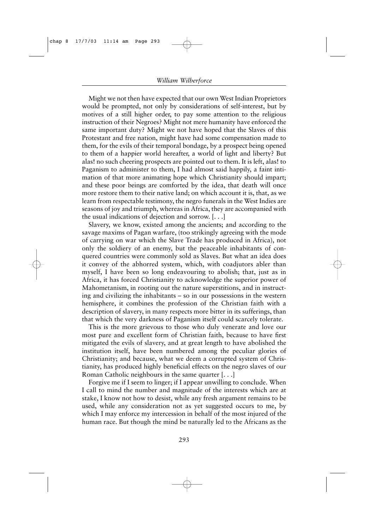Might we not then have expected that our own West Indian Proprietors would be prompted, not only by considerations of self-interest, but by motives of a still higher order, to pay some attention to the religious instruction of their Negroes? Might not mere humanity have enforced the same important duty? Might we not have hoped that the Slaves of this Protestant and free nation, might have had some compensation made to them, for the evils of their temporal bondage, by a prospect being opened to them of a happier world hereafter, a world of light and liberty? But alas! no such cheering prospects are pointed out to them. It is left, alas! to Paganism to administer to them, I had almost said happily, a faint intimation of that more animating hope which Christianity should impart; and these poor beings are comforted by the idea, that death will once more restore them to their native land; on which account it is, that, as we learn from respectable testimony, the negro funerals in the West Indies are seasons of joy and triumph, whereas in Africa, they are accompanied with the usual indications of dejection and sorrow. [. . .]

Slavery, we know, existed among the ancients; and according to the savage maxims of Pagan warfare, (too strikingly agreeing with the mode of carrying on war which the Slave Trade has produced in Africa), not only the soldiery of an enemy, but the peaceable inhabitants of conquered countries were commonly sold as Slaves. But what an idea does it convey of the abhorred system, which, with coadjutors abler than myself, I have been so long endeavouring to abolish; that, just as in Africa, it has forced Christianity to acknowledge the superior power of Mahometanism, in rooting out the nature superstitions, and in instructing and civilizing the inhabitants – so in our possessions in the western hemisphere, it combines the profession of the Christian faith with a description of slavery, in many respects more bitter in its sufferings, than that which the very darkness of Paganism itself could scarcely tolerate.

This is the more grievous to those who duly venerate and love our most pure and excellent form of Christian faith, because to have first mitigated the evils of slavery, and at great length to have abolished the institution itself, have been numbered among the peculiar glories of Christianity; and because, what we deem a corrupted system of Christianity, has produced highly beneficial effects on the negro slaves of our Roman Catholic neighbours in the same quarter [. . .]

Forgive me if I seem to linger; if I appear unwilling to conclude. When I call to mind the number and magnitude of the interests which are at stake, I know not how to desist, while any fresh argument remains to be used, while any consideration not as yet suggested occurs to me, by which I may enforce my intercession in behalf of the most injured of the human race. But though the mind be naturally led to the Africans as the